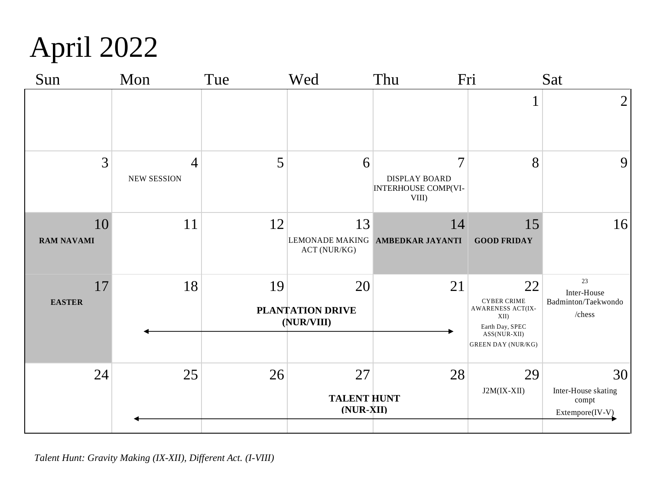

| Sun                     | Mon                                  | Tue | Wed                                   | Fri<br>Thu                                                                    |                                                                                                                       | Sat                                                   |
|-------------------------|--------------------------------------|-----|---------------------------------------|-------------------------------------------------------------------------------|-----------------------------------------------------------------------------------------------------------------------|-------------------------------------------------------|
|                         |                                      |     |                                       |                                                                               |                                                                                                                       | $\overline{2}$                                        |
| 3                       | $\overline{4}$<br><b>NEW SESSION</b> | 5   | 6                                     | $\overline{7}$<br><b>DISPLAY BOARD</b><br><b>INTERHOUSE COMP(VI-</b><br>VIII) | 8                                                                                                                     | 9                                                     |
| 10<br><b>RAM NAVAMI</b> | 11                                   | 12  | 13<br>ACT (NUR/KG)                    | 14<br>LEMONADE MAKING AMBEDKAR JAYANTI                                        | 15<br><b>GOOD FRIDAY</b>                                                                                              | 16                                                    |
| 17<br><b>EASTER</b>     | 18                                   | 19  | 20<br>PLANTATION DRIVE<br>(NUR/VIII)  | 21                                                                            | 22<br><b>CYBER CRIME</b><br>AWARENESS ACT(IX-<br>XII)<br>Earth Day, SPEC<br>ASS(NUR-XII)<br><b>GREEN DAY (NUR/KG)</b> | 23<br>Inter-House<br>Badminton/Taekwondo<br>/ $ches$  |
| 24                      | 25                                   | 26  | 27<br><b>TALENT HUNT</b><br>(NUR-XII) | 28                                                                            | 29<br>J2M(IX-XII)                                                                                                     | 30<br>Inter-House skating<br>compt<br>Extempore(IV-V) |

*Talent Hunt: Gravity Making (IX-XII), Different Act. (I-VIII)*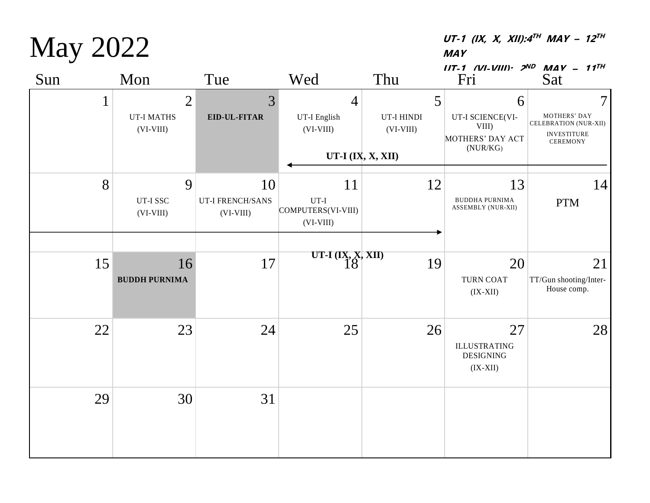| Sun          | Mon                                                | Tue                                          | Wed                                               | Thu                            | $III-1$ (VI-VIII) $2^{ND}$ MAV - 11 <sup>TH</sup><br>Fri       | Sat                                                                          |
|--------------|----------------------------------------------------|----------------------------------------------|---------------------------------------------------|--------------------------------|----------------------------------------------------------------|------------------------------------------------------------------------------|
| $\mathbf{1}$ | $\overline{2}$<br><b>UT-I MATHS</b><br>$(VI-VIII)$ | 3<br>EID-UL-FITAR                            | $\overline{4}$<br>UT-I English<br>$(VI-VIII)$     | 5<br>UT-I HINDI<br>$(VI-VIII)$ | 6<br>UT-I SCIENCE(VI-<br>VIII)<br>MOTHERS' DAY ACT<br>(NUR/KG) | 7<br>MOTHERS' DAY<br>CELEBRATION (NUR-XII)<br><b>INVESTITURE</b><br>CEREMONY |
|              |                                                    |                                              |                                                   | UT-I $(IX, X, XII)$            |                                                                |                                                                              |
| 8            | 9<br>UT-I SSC<br>$(VI-VIII)$                       | 10<br><b>UT-I FRENCH/SANS</b><br>$(VI-VIII)$ | 11<br>$UT-I$<br>COMPUTERS(VI-VIII)<br>$(VI-VIII)$ | 12                             | 13<br><b>BUDDHA PURNIMA</b><br>ASSEMBLY (NUR-XII)              | 14<br><b>PTM</b>                                                             |
| 15           | 16<br><b>BUDDH PURNIMA</b>                         | 17                                           | UT-I $(IX, X, XII)$<br>$18$                       | 19                             | 20<br><b>TURN COAT</b><br>$(IX-XII)$                           | 21<br>TT/Gun shooting/Inter-<br>House comp.                                  |
| 22           | 23                                                 | 24                                           | 25                                                | 26                             | 27<br><b>ILLUSTRATING</b><br><b>DESIGNING</b><br>$(IX-XII)$    | 28                                                                           |
| 29           | 30                                                 | 31                                           |                                                   |                                |                                                                |                                                                              |

May 2022

**UT-1 (IX, X, XII):4 TH MAY – 12 TH MAY**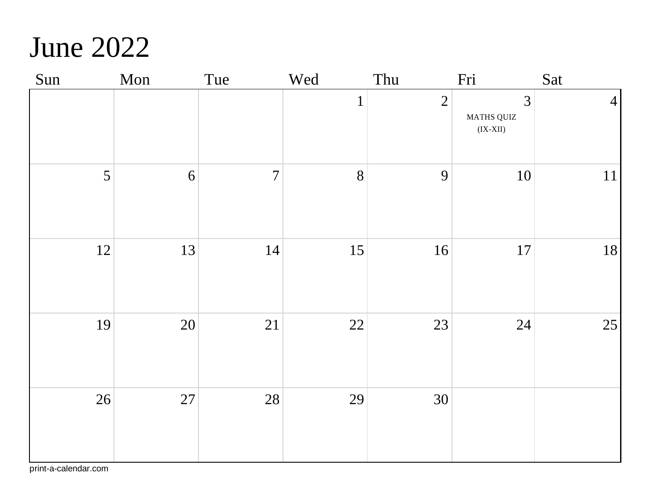### June 2022

| Sun | Mon              | Tue            | Wed          | Thu            | Fri                                       | Sat             |
|-----|------------------|----------------|--------------|----------------|-------------------------------------------|-----------------|
|     |                  |                | $\mathbf{1}$ | $\overline{2}$ | 3<br>MATHS QUIZ<br>$\rm (IX{\text -}XII)$ | $\vert 4 \vert$ |
| 5   | $\boldsymbol{6}$ | $\overline{7}$ | 8            | 9              | $10\,$                                    | 11              |
| 12  | 13               | 14             | 15           | 16             | $17\,$                                    | 18              |
| 19  | 20               | 21             | 22           | 23             | $24\,$                                    | 25              |
| 26  | 27               | 28             | 29           | 30             |                                           |                 |

print-a-calendar.com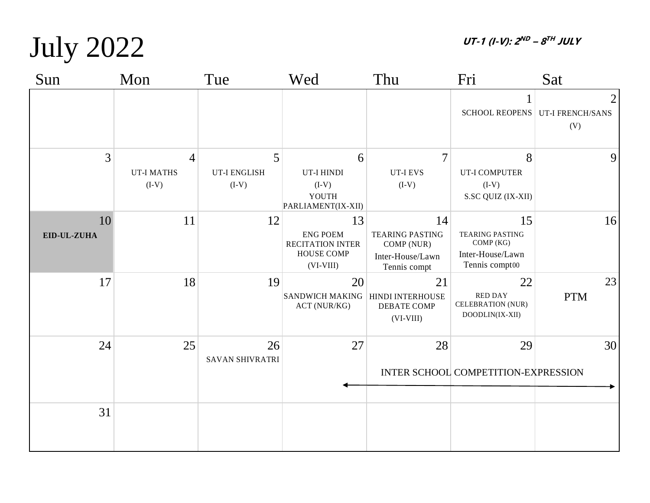**UT-1 (I-V): 2 ND – 8 TH JULY** 

## July 2022

| Sun               | Mon                               | Tue                                 | Wed                                                                                  | Thu                                                                            | Fri                                                                             | Sat                                                      |
|-------------------|-----------------------------------|-------------------------------------|--------------------------------------------------------------------------------------|--------------------------------------------------------------------------------|---------------------------------------------------------------------------------|----------------------------------------------------------|
|                   |                                   |                                     |                                                                                      |                                                                                |                                                                                 | $\overline{2}$<br>SCHOOL REOPENS UT-I FRENCH/SANS<br>(V) |
| 3                 | 4<br><b>UT-I MATHS</b><br>$(I-V)$ | 5<br><b>UT-I ENGLISH</b><br>$(I-V)$ | 6<br>UT-I HINDI<br>$(I-V)$<br>YOUTH<br>PARLIAMENT(IX-XII)                            | $\overline{7}$<br><b>UT-I EVS</b><br>$(I-V)$                                   | 8<br>UT-I COMPUTER<br>$(I-V)$<br>S.SC QUIZ (IX-XII)                             | $\overline{9}$                                           |
| 10<br>EID-UL-ZUHA | 11                                | 12                                  | 13<br><b>ENG POEM</b><br><b>RECITATION INTER</b><br><b>HOUSE COMP</b><br>$(VI-VIII)$ | 14<br><b>TEARING PASTING</b><br>COMP (NUR)<br>Inter-House/Lawn<br>Tennis compt | 15<br><b>TEARING PASTING</b><br>COMP (KG)<br>Inter-House/Lawn<br>Tennis compt00 | 16                                                       |
| 17                | 18                                | 19                                  | 20<br><b>SANDWICH MAKING</b><br>ACT (NUR/KG)                                         | 21<br>HINDI INTERHOUSE<br>DEBATE COMP<br>$(VI-VIII)$                           | 22<br><b>RED DAY</b><br><b>CELEBRATION (NUR)</b><br>DOODLIN(IX-XII)             | 23<br><b>PTM</b>                                         |
| 24                | 25                                | 26<br><b>SAVAN SHIVRATRI</b>        | 27                                                                                   | 28                                                                             | 29<br>INTER SCHOOL COMPETITION-EXPRESSION                                       | 30                                                       |
| 31                |                                   |                                     |                                                                                      |                                                                                |                                                                                 |                                                          |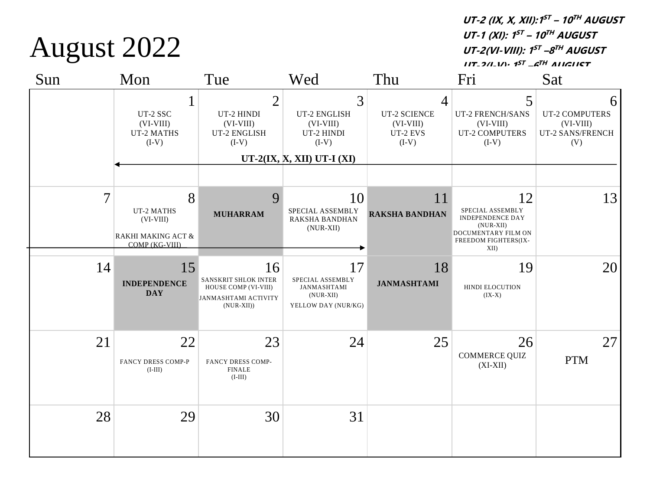**UT-2 (IX, X, XII):1 ST – 10 TH AUGUST UT-1 (XI): 1 ST – 10 TH AUGUST UT-2(VI-VIII): 1 ST –8 TH AUGUST UT-2(I-V): 1 ST –6 TH AUGUST**

6

5

Sun Mon Tue Wed Thu Fri Sat 1 UT-2 SSC (VI-VIII) UT-2 MATHS 2 UT-2 HINDI (VI-VIII) UT-2 ENGLISH 3 UT-2 ENGLISH (VI-VIII) UT-2 HINDI 4 UT-2 SCIENCE (VI-VIII) UT-2 EVS UT-2 FRENCH/SANS UT-2 COMPUTERS

|                | $(VI-VIII)$<br>UT-2 MATHS<br>$(I-V)$                                   | $(VI-VIII)$<br>UT-2 ENGLISH<br>$(I-V)$                                                            | $(VI-VIII)$<br>UT-2 HINDI<br>$(I-V)$                                        | $(VI-VIII)$<br>UT-2 EVS<br>$(I-V)$ | $(VI-VIII)$<br><b>UT-2 COMPUTERS</b><br>$(I-V)$                                                                         | $(VI-VIII)$<br>UT-2 SANS/FRENCH<br>(V) |
|----------------|------------------------------------------------------------------------|---------------------------------------------------------------------------------------------------|-----------------------------------------------------------------------------|------------------------------------|-------------------------------------------------------------------------------------------------------------------------|----------------------------------------|
|                |                                                                        |                                                                                                   | UT-2(IX, X, XII) UT-I $(XI)$                                                |                                    |                                                                                                                         |                                        |
| $\overline{7}$ | 8<br>UT-2 MATHS<br>$(VI-VIII)$<br>RAKHI MAKING ACT &<br>COMP (KG-VIII) | 9<br><b>MUHARRAM</b>                                                                              | 10<br>SPECIAL ASSEMBLY<br>RAKSHA BANDHAN<br>(NUR-XII)                       | 11<br><b>RAKSHA BANDHAN</b>        | 12<br>SPECIAL ASSEMBLY<br><b>INDEPENDENCE DAY</b><br>$(NUR-XII)$<br>DOCUMENTARY FILM ON<br>FREEDOM FIGHTERS(IX-<br>XII) | 13                                     |
| 14             | 15<br><b>INDEPENDENCE</b><br><b>DAY</b>                                | 16<br>SANSKRIT SHLOK INTER<br>HOUSE COMP (VI-VIII)<br><b>JANMASHTAMI ACTIVITY</b><br>$(NUR-XII))$ | 17<br>SPECIAL ASSEMBLY<br>JANMASHTAMI<br>$(NUR-XII)$<br>YELLOW DAY (NUR/KG) | 18<br><b>JANMASHTAMI</b>           | 19<br>HINDI ELOCUTION<br>$(IX-X)$                                                                                       | 20                                     |
| 21             | 22<br><b>FANCY DRESS COMP-P</b><br>$(I-III)$                           | 23<br>FANCY DRESS COMP-<br><b>FINALE</b><br>$(I-III)$                                             | 24                                                                          | 25                                 | 26<br>COMMERCE QUIZ<br>$(XI-XII)$                                                                                       | 27<br><b>PTM</b>                       |
| 28             | 29                                                                     | 30                                                                                                | 31                                                                          |                                    |                                                                                                                         |                                        |

August 2022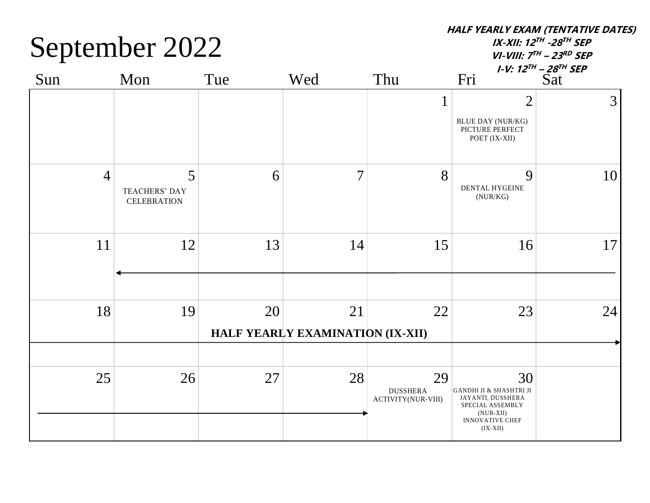September 2022

**HALF YEARLY EXAM (TENTATIVE DATES)**

**IX-XII: 12 TH -28 TH SEP VI-VIII: 7 TH – 23 RD SEP**

| Sun            | Mon                                             | Tue | Wed                                    | Thu                                         | Fri                                                                                                                           | <i>I-V:</i> $12^{TH}$ – $28^{TH}$ SEP<br>$\overline{Sat}$ |
|----------------|-------------------------------------------------|-----|----------------------------------------|---------------------------------------------|-------------------------------------------------------------------------------------------------------------------------------|-----------------------------------------------------------|
|                |                                                 |     |                                        | $\mathbf{1}$                                | $\overline{2}$<br><b>BLUE DAY (NUR/KG)</b><br>PICTURE PERFECT<br>POET (IX-XII)                                                | 3 <sup>1</sup>                                            |
| $\overline{4}$ | 5<br><b>TEACHERS' DAY</b><br><b>CELEBRATION</b> | 6   | $\overline{7}$                         | 8                                           | 9<br>DENTAL HYGEINE<br>(NUR/KG)                                                                                               | 10 <sup>1</sup>                                           |
| 11             | 12                                              | 13  | 14                                     | 15                                          | 16                                                                                                                            | 17 <sup>1</sup>                                           |
| 18             | 19                                              | 20  | 21<br>HALF YEARLY EXAMINATION (IX-XII) | 22                                          | 23                                                                                                                            | 24                                                        |
|                |                                                 |     |                                        |                                             |                                                                                                                               |                                                           |
| 25             | 26                                              | 27  | 28                                     | 29<br><b>DUSSHERA</b><br>ACTIVITY(NUR-VIII) | 30<br>GANDHI JI & SHASHTRI JI<br>JAYANTI, DUSSHERA<br>SPECIAL ASSEMBLY<br>$(NUR-XII)$<br><b>INNOVATIVE CHEF</b><br>$(IX-XII)$ |                                                           |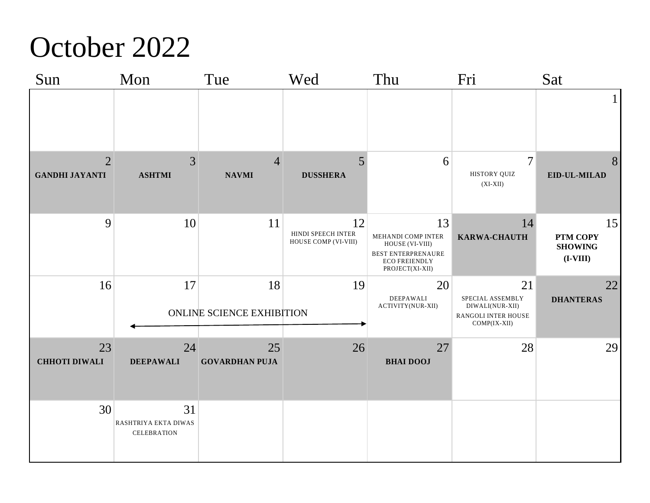### October 2022

| Sun                                     | Mon                                              | Tue                             | Wed                                              | Thu                                                                                                   | Fri                                                                              | Sat                                            |
|-----------------------------------------|--------------------------------------------------|---------------------------------|--------------------------------------------------|-------------------------------------------------------------------------------------------------------|----------------------------------------------------------------------------------|------------------------------------------------|
|                                         |                                                  |                                 |                                                  |                                                                                                       |                                                                                  | 1                                              |
| $\overline{2}$<br><b>GANDHI JAYANTI</b> | 3<br><b>ASHTMI</b>                               | $\overline{4}$<br><b>NAVMI</b>  | 5<br><b>DUSSHERA</b>                             | 6                                                                                                     | $\overline{7}$<br>HISTORY QUIZ<br>$(XI-XII)$                                     | 8<br>EID-UL-MILAD                              |
| 9                                       | 10                                               | 11                              | 12<br>HINDI SPEECH INTER<br>HOUSE COMP (VI-VIII) | 13<br>MEHANDI COMP INTER<br>HOUSE (VI-VIII)<br>BEST ENTERPRENAURE<br>ECO FREIENDLY<br>PROJECT(XI-XII) | 14<br>KARWA-CHAUTH                                                               | 15<br>PTM COPY<br><b>SHOWING</b><br>$(I-VIII)$ |
| 16                                      | 17                                               | 18<br>ONLINE SCIENCE EXHIBITION | 19                                               | 20<br>DEEPAWALI<br>ACTIVITY(NUR-XII)                                                                  | 21<br>SPECIAL ASSEMBLY<br>DIWALI(NUR-XII)<br>RANGOLI INTER HOUSE<br>COMP(IX-XII) | 22<br><b>DHANTERAS</b>                         |
| 23<br><b>CHHOTI DIWALI</b>              | 24<br><b>DEEPAWALI</b>                           | 25<br><b>GOVARDHAN PUJA</b>     | 26                                               | 27<br><b>BHAI DOOJ</b>                                                                                | 28                                                                               | 29                                             |
| 30                                      | 31<br>RASHTRIYA EKTA DIWAS<br><b>CELEBRATION</b> |                                 |                                                  |                                                                                                       |                                                                                  |                                                |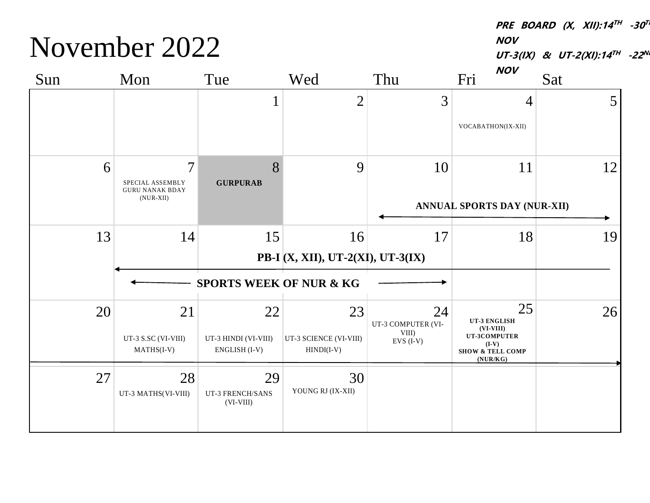November 2022

**PRE BOARD (X, XII):14 TH -30 TH NOV**

UT-3(IX) & UT-2(XI):14<sup>TH</sup> -22<sup>NI</sup>  $N$ 

| Sun | Mon                                                          | Tue                                   | Wed                                    | Thu                      | <i>IVUV</i><br>Fri                                                | Sat |
|-----|--------------------------------------------------------------|---------------------------------------|----------------------------------------|--------------------------|-------------------------------------------------------------------|-----|
|     |                                                              |                                       | $\overline{2}$                         | 3                        | $\overline{4}$<br>VOCABATHON(IX-XII)                              | 5   |
|     |                                                              |                                       |                                        |                          |                                                                   |     |
| 6   | $\overline{7}$<br>SPECIAL ASSEMBLY<br><b>GURU NANAK BDAY</b> | 8<br><b>GURPURAB</b>                  | 9                                      | 10                       | 11                                                                | 12  |
|     | $(NUR-XII)$                                                  |                                       |                                        |                          | ANNUAL SPORTS DAY (NUR-XII)                                       |     |
| 13  | 14                                                           | 15                                    | 16                                     | 17                       | 18                                                                | 19  |
|     |                                                              |                                       | PB-I (X, XII), UT-2(XI), UT-3(IX)      |                          |                                                                   |     |
|     |                                                              | <b>SPORTS WEEK OF NUR &amp; KG</b>    |                                        |                          |                                                                   |     |
| 20  | 21                                                           | 22                                    | 23                                     | 24<br>UT-3 COMPUTER (VI- | 25<br>UT-3 ENGLISH                                                | 26  |
|     | UT-3 S.SC (VI-VIII)<br>$MATHS(I-V)$                          | UT-3 HINDI (VI-VIII)<br>ENGLISH (I-V) | UT-3 SCIENCE (VI-VIII)<br>$HINDI(I-V)$ | VIII)<br>$EVS$ (I-V)     | $(VI-VIII)$<br>UT-3COMPUTER<br>(I-V) SHOW & TELL COMP<br>(NUR/KG) |     |
| 27  | 28<br>UT-3 MATHS(VI-VIII)                                    | 29<br>UT-3 FRENCH/SANS<br>$(VI-VIII)$ | 30<br>YOUNG RJ (IX-XII)                |                          |                                                                   |     |
|     |                                                              |                                       |                                        |                          |                                                                   |     |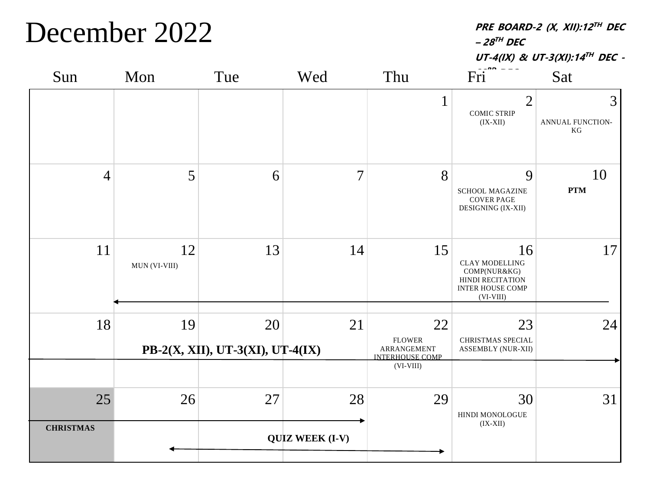#### December 2022

**PRE BOARD-2 (X, XII):12 TH DEC – 28 TH DEC**

**UT-4(IX) & UT-3(XI):14 TH DEC -**

| Sun                    | Mon                 | Tue                                    | Wed                          | Thu                                                                         | Fri                                                                                                       | Sat                         |
|------------------------|---------------------|----------------------------------------|------------------------------|-----------------------------------------------------------------------------|-----------------------------------------------------------------------------------------------------------|-----------------------------|
|                        |                     |                                        |                              | $\mathbf{1}$                                                                | $\overline{2}$<br><b>COMIC STRIP</b><br>$(IX-XII)$                                                        | 3<br>ANNUAL FUNCTION-<br>KG |
| $\overline{4}$         | 5                   | 6                                      | $\overline{7}$               | 8                                                                           | 9<br><b>SCHOOL MAGAZINE</b><br><b>COVER PAGE</b><br>DESIGNING (IX-XII)                                    | 10<br><b>PTM</b>            |
| 11                     | 12<br>MUN (VI-VIII) | 13                                     | 14                           | 15                                                                          | 16<br><b>CLAY MODELLING</b><br>COMP(NUR&KG)<br>HINDI RECITATION<br><b>INTER HOUSE COMP</b><br>$(VI-VIII)$ | 17                          |
| 18                     | 19                  | 20<br>PB-2(X, XII), UT-3(XI), UT-4(IX) | 21                           | 22<br><b>FLOWER</b><br>ARRANGEMENT<br><b>INTERHOUSE COMP</b><br>$(VI-VIII)$ | 23<br>CHRISTMAS SPECIAL<br>ASSEMBLY (NUR-XII)                                                             | 24                          |
| 25<br><b>CHRISTMAS</b> | 26                  | 27                                     | 28<br><b>QUIZ WEEK (I-V)</b> | 29                                                                          | 30<br>HINDI MONOLOGUE<br>$(IX-XII)$                                                                       | 31                          |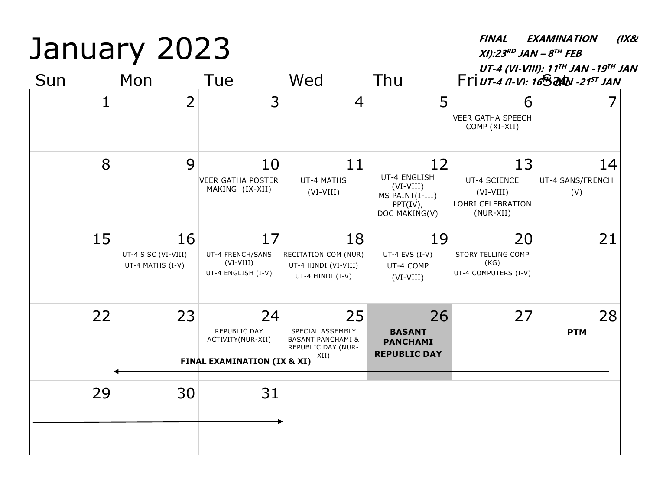January 2023 Sun Mon Tue Wed Thu Fri*ut-4 (I-V): 16*5 at *N*-21<sup>57</sup> JAN **XI):23 RD JAN – 8 TH FEB UT-4 (VI-VIII): 11 TH JAN -19 TH JAN**  $1$  2 3 4 5 6 VEER GATHA SPEECH COMP (XI-XII) 7 8 9 10 VEER GATHA POSTER MAKING (IX-XII) 11 UT-4 MATHS (VI-VIII) 12 UT-4 ENGLISH (VI-VIII) MS PAINT(I-III) PPT(IV), DOC MAKING(V) 13 UT-4 SCIENCE (VI-VIII) LOHRI CELEBRATION (NUR-XII) 14 UT-4 SANS/FRENCH (V) 15 16 UT-4 S.SC (VI-VIII) UT-4 MATHS (I-V) 17 UT-4 FRENCH/SANS (VI-VIII) UT-4 ENGLISH (I-V) 18 RECITATION COM (NUR) UT-4 HINDI (VI-VIII) UT-4 HINDI (I-V) 19 UT-4 EVS (I-V) UT-4 COMP (VI-VIII) 20 STORY TELLING COMP (KG) UT-4 COMPUTERS (I-V) 21  $22$  23 24 REPUBLIC DAY ACTIVITY(NUR-XII) 25 SPECIAL ASSEMBLY BASANT PANCHAMI & REPUBLIC DAY (NUR-XII) 26 **BASANT PANCHAMI REPUBLIC DAY** 27 28 **PTM** 29 30 31 **FINAL EXAMINATION (IX & XI)**

**FINAL EXAMINATION (IX&**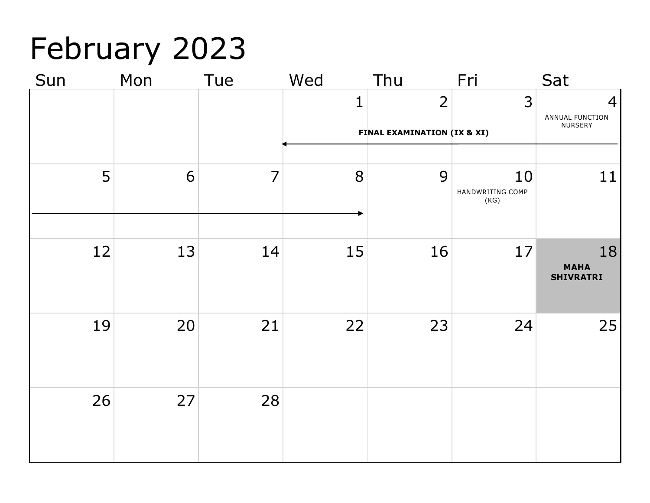# February 2023

| Mon | Tue | Wed                  | Thu            | Fri  | Sat                                                   |
|-----|-----|----------------------|----------------|------|-------------------------------------------------------|
|     |     | 1                    | $\overline{2}$ | 3    | $\overline{4}$<br>ANNUAL FUNCTION                     |
|     |     |                      |                |      | NURSERY                                               |
|     |     |                      |                |      |                                                       |
|     |     |                      |                |      | 11                                                    |
|     |     |                      |                | (KG) |                                                       |
|     |     |                      |                |      |                                                       |
| 13  | 14  | 15                   | 16             | 17   | 18<br><b>MAHA</b><br><b>SHIVRATRI</b>                 |
| 20  |     |                      | 23             | 24   | 25                                                    |
|     |     |                      |                |      |                                                       |
| 27  | 28  |                      |                |      |                                                       |
|     |     |                      |                |      |                                                       |
|     | 6   | $\overline{7}$<br>21 | 8<br>22        | 9    | FINAL EXAMINATION (IX & XI)<br>10<br>HANDWRITING COMP |